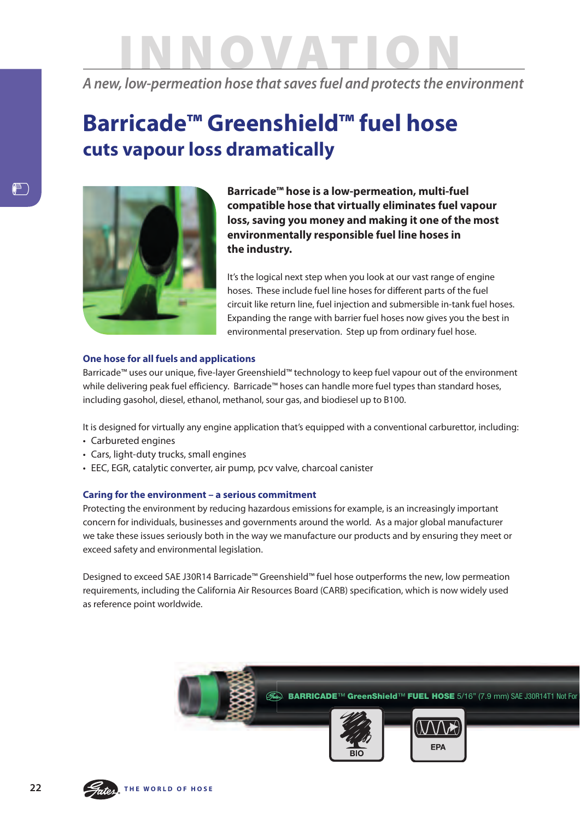## innovat ion

*A new, low-permeation hose that saves fuel and protects the environment*

## **Barricade™ Greenshield™ fuel hose cuts vapour loss dramatically**



**Barricade™ hose is a low-permeation, multi-fuel compatible hose that virtually eliminates fuel vapour loss, saving you money and making it one of the most environmentally responsible fuel line hoses in the industry.**

it's the logical next step when you look at our vast range of engine hoses. These include fuel line hoses for different parts of the fuel circuit like return line, fuel injection and submersible in-tank fuel hoses. Expanding the range with barrier fuel hoses now gives you the best in environmental preservation. step up from ordinary fuel hose.

## **one hose for all fuels and applications**

Barricade™ uses our unique, five-layer greenshield™ technology to keep fuel vapour out of the environment while delivering peak fuel efficiency. Barricade™ hoses can handle more fuel types than standard hoses, including gasohol, diesel, ethanol, methanol, sour gas, and biodiesel up to B100.

it is designed for virtually any engine application that's equipped with a conventional carburettor, including:

- Carbureted engines
- Cars, light-duty trucks, small engines
- EEC, EGR, catalytic converter, air pump, pcv valve, charcoal canister

## **Caring for the environment – a serious commitment**

protecting the environment by reducing hazardous emissions for example, is an increasingly important concern for individuals, businesses and governments around the world. As a major global manufacturer we take these issues seriously both in the way we manufacture our products and by ensuring they meet or exceed safety and environmental legislation.

Designed to exceed SAE J30R14 Barricade™ Greenshield™ fuel hose outperforms the new, low permeation requirements, including the California Air Resources Board (CARB) specification, which is now widely used as reference point worldwide.